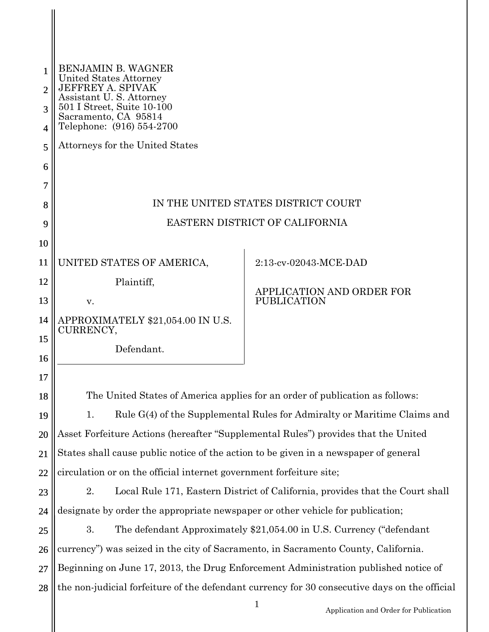|                | <b>BENJAMIN B. WAGNER</b>                                                                     |                           |  |
|----------------|-----------------------------------------------------------------------------------------------|---------------------------|--|
| $\mathfrak{D}$ | United States Attorney<br>JEFFREY A. SPIVAK<br>Assistant U.S. Attorney                        |                           |  |
| 3              | 501 I Street, Suite 10-100<br>Sacramento, CA 95814                                            |                           |  |
| 4              | Telephone: (916) 554-2700                                                                     |                           |  |
| 5              | Attorneys for the United States                                                               |                           |  |
| 6              |                                                                                               |                           |  |
| 7              |                                                                                               |                           |  |
| 8              | IN THE UNITED STATES DISTRICT COURT                                                           |                           |  |
| 9              | EASTERN DISTRICT OF CALIFORNIA                                                                |                           |  |
| 10             |                                                                                               |                           |  |
| 11             | UNITED STATES OF AMERICA,                                                                     | 2:13-cv-02043-MCE-DAD     |  |
| 12             | Plaintiff,                                                                                    | APPLICATION AND ORDER FOR |  |
| 13             | V.                                                                                            | <b>PUBLICATION</b>        |  |
| 14             | APPROXIMATELY \$21,054.00 IN U.S.<br>CURRENCY,                                                |                           |  |
| 15             | Defendant.                                                                                    |                           |  |
| 16             |                                                                                               |                           |  |
| 17             |                                                                                               |                           |  |
| 18             | The United States of America applies for an order of publication as follows:                  |                           |  |
| 19             | Rule G(4) of the Supplemental Rules for Admiralty or Maritime Claims and<br>1.                |                           |  |
| 20             | Asset Forfeiture Actions (hereafter "Supplemental Rules") provides that the United            |                           |  |
| 21             | States shall cause public notice of the action to be given in a newspaper of general          |                           |  |
| 22             | circulation or on the official internet government forfeiture site;                           |                           |  |
| 23             | Local Rule 171, Eastern District of California, provides that the Court shall<br>2.           |                           |  |
| 24             | designate by order the appropriate newspaper or other vehicle for publication;                |                           |  |
| 25             | 3.<br>The defendant Approximately \$21,054.00 in U.S. Currency ("defendant                    |                           |  |
| 26             | currency") was seized in the city of Sacramento, in Sacramento County, California.            |                           |  |
| 27             | Beginning on June 17, 2013, the Drug Enforcement Administration published notice of           |                           |  |
| 28             | the non-judicial forfeiture of the defendant currency for 30 consecutive days on the official |                           |  |

1